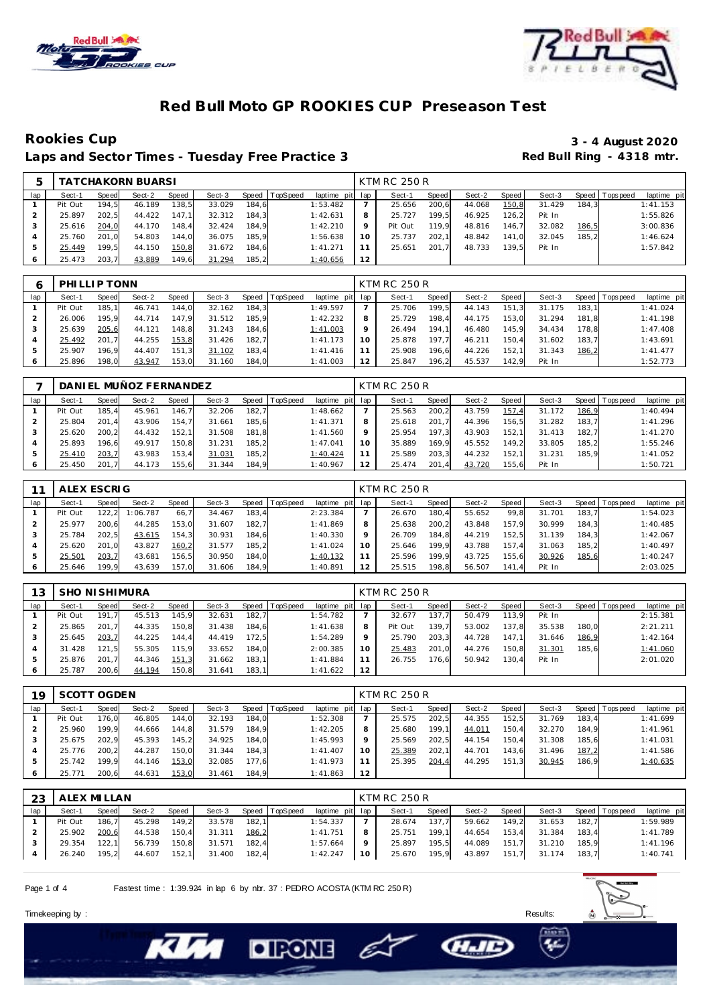



**Rookies Cup 3 - 4 August 2020** Laps and Sector Times - Tuesday Free Practice 3

|     |         |       | <b>TATCHAKORN BUARSI</b> |       |        |       |                |             |         | KTM RC 250 R |       |        |       |        |       |                |             |
|-----|---------|-------|--------------------------|-------|--------|-------|----------------|-------------|---------|--------------|-------|--------|-------|--------|-------|----------------|-------------|
| lap | Sect-1  | Speed | Sect-2                   | Speed | Sect-3 |       | Speed TopSpeed | laptime pit | lap     | Sect-1       | Speed | Sect-2 | Speed | Sect-3 |       | Speed Topspeed | laptime pit |
|     | Pit Out | 194.5 | 46.189                   | 138.5 | 33.029 | 184.6 |                | 1:53.482    |         | 25.656       | 200.6 | 44.068 | 150,8 | 31.429 | 184.3 |                | 1:41.153    |
|     | 25.897  | 202.5 | 44.422                   | 147.1 | 32.312 | 184.3 |                | 1:42.631    | 8       | 25.727       | 199.5 | 46.925 | 126.2 | Pit In |       |                | 1:55.826    |
|     | 25.616  | 204,0 | 44.170                   | 148.4 | 32.424 | 184.9 |                | 1:42.210    | $\circ$ | Pit Out      | 119.9 | 48.816 | 146.7 | 32.082 | 186,5 |                | 3:00.836    |
|     | 25.760  | 201.0 | 54.803                   | 144.0 | 36.075 | 185.9 |                | 1:56.638    | 10      | 25.737       | 202.1 | 48.842 | 141.0 | 32.045 | 185.2 |                | 1:46.624    |
|     | 25.449  | 199.5 | 44.150                   | 150,8 | 31.672 | 184.6 |                | 1:41.271    |         | 25.651       | 201.7 | 48.733 | 139.5 | Pit In |       |                | 1:57.842    |
|     | 25.473  | 203.7 | 43.889                   | 149.6 | 31.294 | 185.2 |                | 1:40.656    | 12      |              |       |        |       |        |       |                |             |

|     | PHILLIP TONN |        |        |       |        |       |                |             |     | KTM RC 250 R |       |        |       |        |       |                |             |
|-----|--------------|--------|--------|-------|--------|-------|----------------|-------------|-----|--------------|-------|--------|-------|--------|-------|----------------|-------------|
| lap | Sect-1       | Speed  | Sect-2 | Speed | Sect-3 |       | Speed TopSpeed | laptime pit | lap | Sect-1       | Speed | Sect-2 | Speed | Sect-3 |       | Speed Topspeed | laptime pit |
|     | Pit Out      | 185.11 | 46.741 | 144,0 | 32.162 | 184,3 |                | 1:49.597    |     | 25.706       | 199.5 | 44.143 | 151.3 | 31.175 | 183.1 |                | 1:41.024    |
|     | 26.006       | 195.9  | 44.714 | 147.9 | 31.512 | 185.9 |                | 1:42.232    | 8   | 25.729       | 198.4 | 44.175 | 153.0 | 31.294 | 181.8 |                | 1:41.198    |
|     | 25.639       | 205,6  | 44.121 | 148,8 | 31.243 | 184.6 |                | 1:41.003    | 9   | 26.494       | 194.1 | 46.480 | 145.9 | 34.434 | 178.8 |                | 1:47.408    |
|     | 25.492       | 201.7  | 44.255 | 153,8 | 31.426 | 182.7 |                | 1:41.173    | 10  | 25.878       | 197.7 | 46.211 | 150.4 | 31.602 | 183.7 |                | 1:43.691    |
| ь   | 25.907       | 196.9  | 44.407 | 151,3 | 31.102 | 183,4 |                | 1:41.416    | 11  | 25.908       | 196.6 | 44.226 | 152.1 | 31.343 | 186,2 |                | 1:41.477    |
| 6   | 25.896       | 198.0  | 43.947 | 153,0 | 31.160 | 184,0 |                | 1:41.003    | 12  | 25.847       | 196,2 | 45.537 | 142.9 | Pit In |       |                | 1:52.773    |

|     |         |       | DANI EL MUÑOZ FERNANDEZ |              |        |       |                |             |     | KTM RC 250 R |              |        |       |        |         |          |             |
|-----|---------|-------|-------------------------|--------------|--------|-------|----------------|-------------|-----|--------------|--------------|--------|-------|--------|---------|----------|-------------|
| lap | Sect-1  | Speed | Sect-2                  | <b>Speed</b> | Sect-3 |       | Speed TopSpeed | laptime pit | lap | Sect-1       | <b>Speed</b> | Sect-2 | Speed | Sect-3 | Speed I | Topspeed | laptime pit |
|     | Pit Out | 185.4 | 45.961                  | 146.7        | 32.206 | 182.7 |                | 1:48.662    |     | 25.563       | 200.2        | 43.759 | 157   | 31.172 | 186,9   |          | 1:40.494    |
|     | 25.804  | 201.4 | 43.906                  | 154.7        | 31.661 | 185.6 |                | 1: 41.371   | 8   | 25.618       | 201.7        | 44.396 | 156.5 | 31.282 | 183.7   |          | 1:41.296    |
|     | 25.620  | 200.2 | 44.432                  | 152.1        | 31.508 | 181.8 |                | 1:41.560    | Q   | 25.954       | 197.3        | 43.903 | 152.1 | 31.413 | 182.7   |          | 1:41.270    |
|     | 25.893  | 196.6 | 49.917                  | 150.8        | 31.231 | 185.2 |                | 1:47.041    | 10  | 35.889       | 169.9        | 45.552 | 149.2 | 33.805 | 185.2   |          | 1:55.246    |
|     | 25.410  | 203,7 | 43.983                  | 153.4        | 31.031 | 185,2 |                | 1:40.424    | 11  | 25.589       | 203.3        | 44.232 | 152.1 | 31.231 | 185.9   |          | 1:41.052    |
|     | 25.450  | 201.7 | 44.173                  | 155.6        | 31.344 | 184.9 |                | 1:40.967    | 12  | 25.474       | 201.4        | 43.720 | 155.6 | Pit In |         |          | 1:50.721    |

|     | ALEX ESCRIG |       |          |       |        |       |                |             |     | KTM RC 250 R |       |        |       |        |       |                |             |
|-----|-------------|-------|----------|-------|--------|-------|----------------|-------------|-----|--------------|-------|--------|-------|--------|-------|----------------|-------------|
| lap | Sect-1      | Speed | Sect-2   | Speed | Sect-3 |       | Speed TopSpeed | laptime pit | lap | Sect-1       | Speed | Sect-2 | Speed | Sect-3 |       | Speed Topspeed | laptime pit |
|     | Pit Out     | 122.2 | 1:06.787 | 66.7  | 34.467 | 183,4 |                | 2:23.384    |     | 26.670       | 180.4 | 55.652 | 99.8  | 31.701 | 183.7 |                | 1:54.023    |
|     | 25.977      | 200.6 | 44.285   | 153.0 | 31.607 | 182.7 |                | 1:41.869    | 8   | 25.638       | 200.2 | 43.848 | 157.9 | 30.999 | 184.3 |                | 1:40.485    |
|     | 25.784      | 202.5 | 43.615   | 154,3 | 30.931 | 184,6 |                | 1:40.330    | Q   | 26.709       | 184.8 | 44.219 | 152.5 | 31.139 | 184.3 |                | 1:42.067    |
|     | 25.620      | 201.0 | 43.827   | 160,2 | 31.577 | 185.2 |                | 1:41.024    | 10  | 25.646       | 199.9 | 43.788 | 157.4 | 31.063 | 185.2 |                | 1:40.497    |
| ь   | 25.501      | 203,7 | 43.681   | 156,5 | 30.950 | 184.0 |                | 1:40.132    | 11  | 25.596       | 199.9 | 43.725 | 155.6 | 30.926 | 185,6 |                | 1:40.247    |
|     | 25.646      | 199.9 | 43.639   | 157,0 | 31.606 | 184,9 |                | 1:40.891    | 12  | 25.515       | 198.8 | 56.507 | 141.4 | Pit In |       |                | 2:03.025    |

| 13  | <b>SHO NI SHIMURA</b> |       |        |       |        |       |                  |             |     | <b>KTM RC 250 R</b> |              |        |       |        |       |                |             |
|-----|-----------------------|-------|--------|-------|--------|-------|------------------|-------------|-----|---------------------|--------------|--------|-------|--------|-------|----------------|-------------|
| lap | Sect-1                | Speed | Sect-2 | Speed | Sect-3 |       | Speed   TopSpeed | laptime pit | lap | Sect-1              | <b>Speed</b> | Sect-2 | Speed | Sect-3 |       | Speed Topspeed | laptime pit |
|     | Pit Out               | 191.7 | 45.513 | 145,9 | 32.631 | 182,7 |                  | 1:54.782    |     | 32.677              | 137.7        | 50.479 | 113.9 | Pit In |       |                | 2:15.381    |
|     | 25.865                | 201.7 | 44.335 | 150,8 | 31.438 | 184.6 |                  | 1:41.638    | 8   | Pit Out             | 139.7        | 53.002 | 137.8 | 35.538 | 180.0 |                | 2:21.211    |
|     | 25.645                | 203,7 | 44.225 | 144.4 | 44.419 | 172.5 |                  | 1:54.289    | 9   | 25.790              | 203.3        | 44.728 | 147.1 | 31.646 | 186,9 |                | 1:42.164    |
|     | 31.428                | 121.5 | 55.305 | 115.9 | 33.652 | 184.0 |                  | 2:00.385    | 10  | 25.483              | 201.0        | 44.276 | 150.8 | 31.301 | 185.6 |                | 1:41.060    |
|     | 25.876                | 201.7 | 44.346 | 151,3 | 31.662 | 183.1 |                  | 1:41.884    | 11  | 26.755              | 176,6        | 50.942 | 130.4 | Pit In |       |                | 2:01.020    |
|     | 25.787                | 200.6 | 44.194 | 150,8 | 31.641 | 183.1 |                  | 1:41.622    | 12  |                     |              |        |       |        |       |                |             |

| 19  | SCOTT OGDEN |       |        |       |        |       |                 |                 |         | <b>KTM RC 250 R</b> |       |        |       |        |       |                 |             |
|-----|-------------|-------|--------|-------|--------|-------|-----------------|-----------------|---------|---------------------|-------|--------|-------|--------|-------|-----------------|-------------|
| lap | Sect-1      | Speed | Sect-2 | Speed | Sect-3 | Speed | <b>TopSpeed</b> | laptime pit lap |         | Sect-1              | Speed | Sect-2 | Speed | Sect-3 |       | Speed Tops peed | laptime pit |
|     | Pit Out     | 176.0 | 46.805 | 144,0 | 32.193 | 184.0 |                 | 1:52.308        |         | 25.575              | 202,5 | 44.355 | 152,5 | 31.769 | 183.4 |                 | 1:41.699    |
|     | 25.960      | 199.9 | 44.666 | 144,8 | 31.579 | 184.9 |                 | 1:42.205        | 8       | 25.680              | 199.1 | 44.011 | 150,4 | 32.270 | 184.9 |                 | 1:41.961    |
|     | 25.675      | 202.9 | 45.393 | 145,2 | 34.925 | 184.0 |                 | 1:45.993        | $\circ$ | 25.569              | 202.5 | 44.154 | 150.4 | 31.308 | 185.6 |                 | 1:41.031    |
|     | 25.776      | 200.2 | 44.287 | 150,0 | 31.344 | 184.3 |                 | 1: 41.407       | 10      | 25.389              | 202,1 | 44.701 | 143.6 | 31.496 | 187,2 |                 | 1:41.586    |
|     | 25.742      | 199.9 | 44.146 | 153,0 | 32.085 | 177,6 |                 | 1:41.973        |         | 25.395              | 204,4 | 44.295 | 151,3 | 30.945 | 186.9 |                 | 1:40.635    |
| 6   | 25.771      | 200,6 | 44.631 | 153,0 | 31.461 | 184,9 |                 | 1:41.863        | 12      |                     |       |        |       |        |       |                 |             |

| 23  | ALEX MILLAN |       |        |       |        |       |                |                 |    | <b>KTM RC 250 R</b> |       |        |       |        |       |                   |             |
|-----|-------------|-------|--------|-------|--------|-------|----------------|-----------------|----|---------------------|-------|--------|-------|--------|-------|-------------------|-------------|
| lap | Sect-1      | Speed | Sect-2 | Speed | Sect-3 |       | Speed TopSpeed | laptime pit lap |    | Sect-1              | Speed | Sect-2 | Speed | Sect-3 |       | Speed   Tops peed | laptime pit |
|     | Pit Out     | 186.7 | 45.298 | 149,2 | 33.578 | 182.1 |                | 1:54.337        |    | 28.674              | 137.7 | 59.662 | 149,2 | 31.653 | 182.7 |                   | 1:59.989    |
|     | 25.902      | 200,6 | 44.538 | 150,4 | 31.311 | 186,2 |                | 1:41.751        |    | 25.751              | 199.1 | 44.654 | 153.4 | 31.384 | 183.4 |                   | 1:41.789    |
|     | 29.354      | 122.1 | 56.739 | 150,8 | 31.571 | 182.4 |                | 1:57.664        |    | 25.897              | 195.5 | 44.089 | 151.7 | 31.210 | 185.9 |                   | 1:41.196    |
|     | 26.240      | 195.2 | 44.607 | 152.1 | 31.400 | 182.4 |                | 1:42.247        | 10 | 25.670              | 195,9 | 43.897 | 151.7 | 31.174 | 183.7 |                   | 1:40.741    |

e

**CHAID** 

Page 1 of 4 Fastest time : 1:39.924 in lap 6 by nbr. 37 : PEDRO ACOSTA (KTM RC 250 R)

**DIRONE** 



Timekeeping by : Results: Results: Results: Results: Results: Results: Results: Results: Results: Results: Results: Results: Results: Results: Results: Results: Results: Results: Results: Results: Results: Results: Results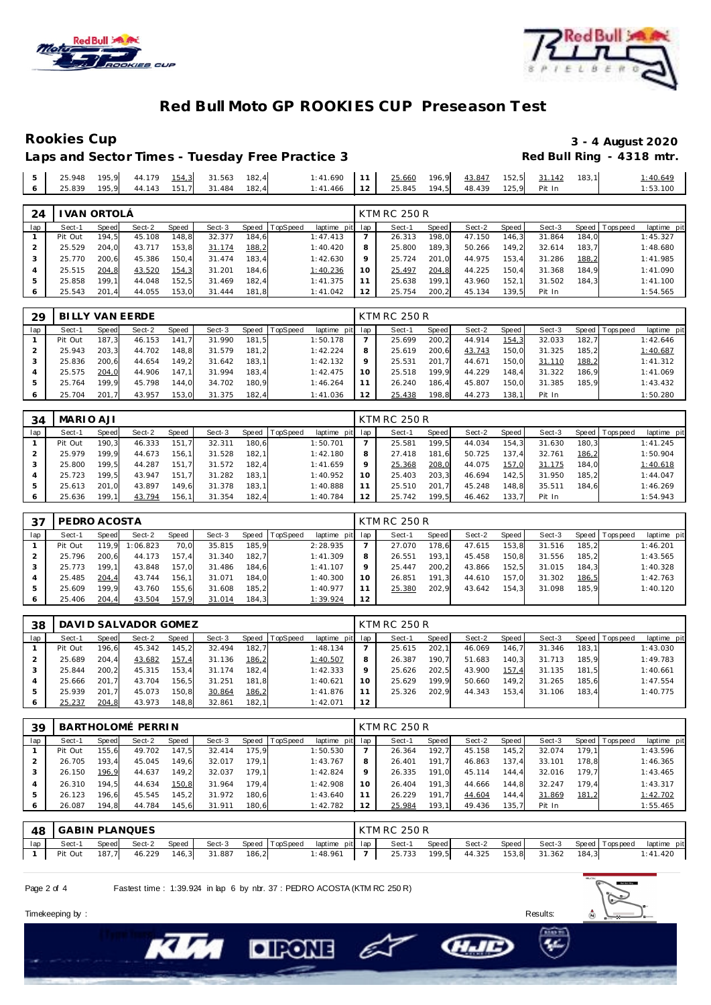



### **Rookies Cup 3 - 4 August 2020** Laps and Sector Times - Tuesday Free Practice 3

|     | 25.948 | 195.9 | 44.179 |       | 31.563              | 182.4 | 1:41.690      | 11 <sup>1</sup> | 25.660 | 196.9 |              | 152.5 | 31.142 | 183.1 |          |
|-----|--------|-------|--------|-------|---------------------|-------|---------------|-----------------|--------|-------|--------------|-------|--------|-------|----------|
|     |        |       |        | 154,3 |                     |       |               |                 |        |       | 43.847       |       |        |       | 1:40.649 |
| 16' | 25.839 | 195.9 |        |       | 44.143 151.7 31.484 | 182.4 | $1:41.466$ 12 |                 | 25.845 |       | 194.5 48.439 | 125.9 | Pit In |       | 1:53.100 |
|     |        |       |        |       |                     |       |               |                 |        |       |              |       |        |       |          |

| 24  |         | VAN ORTOLA |        |       |        |       |                |                 | KTM RC 250 R |       |        |       |        |       |                |             |
|-----|---------|------------|--------|-------|--------|-------|----------------|-----------------|--------------|-------|--------|-------|--------|-------|----------------|-------------|
| lap | Sect-1  | Speed      | Sect-2 | Speed | Sect-3 |       | Speed TopSpeed | laptime pit lap | Sect-1       | Speed | Sect-2 | Speed | Sect-3 |       | Speed Topspeed | laptime pit |
|     | Pit Out | 194.5      | 45.108 | 148.8 | 32.377 | 184,6 |                | 1:47.413        | 26.313       | 198.0 | 47.150 | 146.3 | 31.864 | 184.0 |                | 1:45.327    |
|     | 25.529  | 204.0      | 43.717 | 153.8 | 31.174 | 188,2 |                | 1:40.420        | 25.800       | 189.3 | 50.266 | 149.2 | 32.614 | 183.7 |                | 1:48.680    |
|     | 25.770  | 200.6      | 45.386 | 150.4 | 31.474 | 183.4 |                | 1:42.630        | 25.724       | 201.0 | 44.975 | 153.4 | 31.286 | 188,2 |                | 1:41.985    |
|     | 25.515  | 204,8      | 43.520 | 154,3 | 31.201 | 184.6 |                | 1:40.236        | 25.497       | 204,8 | 44.225 | 150.4 | 31.368 | 184.9 |                | 1:41.090    |
|     | 25.858  | 199.1      | 44.048 | 152.5 | 31.469 | 182.4 |                | 1:41.375        | 25.638       | 199.1 | 43.960 | 152.1 | 31.502 | 184.3 |                | 1:41.100    |
|     | 25.543  | 201.4      | 44.055 | 153.0 | 31.444 | 181.8 |                | 1:41.042        | 25.754       | 200.2 | 45.134 | 139.5 | Pit In |       |                | 1:54.565    |

| 29      |         |       | BILLY VAN EERDE |       |        |         |          |                 | KTM RC 250 R |       |        |       |        |       |                 |             |
|---------|---------|-------|-----------------|-------|--------|---------|----------|-----------------|--------------|-------|--------|-------|--------|-------|-----------------|-------------|
| lap     | Sect-1  | Speed | Sect-2          | Speed | Sect-3 | Speed ' | TopSpeed | laptime pit lap | Sect-1       | Speed | Sect-2 | Speed | Sect-3 |       | Speed Tops peed | laptime pit |
|         | Pit Out | 187.3 | 46.153          | 141.7 | 31.990 | 181.5   |          | 1:50.178        | 25.699       | 200.2 | 44.914 | 154,3 | 32.033 | 182.7 |                 | 1:42.646    |
|         | 25.943  | 203.3 | 44.702          | 148.8 | 31.579 | 181.2   |          | 1:42.224        | 25.619       | 200.6 | 43.743 | 150,0 | 31.325 | 185.2 |                 | 1:40.687    |
|         | 25.836  | 200.6 | 44.654          | 149.2 | 31.642 | 183.11  |          | 1:42.132        | 25.531       | 201.7 | 44.671 | 150.0 | 31.110 | 188,2 |                 | 1:41.312    |
|         | 25.575  | 204,0 | 44.906          | 147.1 | 31.994 | 183.4   |          | 1:42.475        | 25.518       | 199.9 | 44.229 | 148.4 | 31.322 | 186.9 |                 | 1:41.069    |
| 5       | 25.764  | 199.9 | 45.798          | 144.0 | 34.702 | 180.9   |          | 1:46.264        | 26.240       | 186.4 | 45.807 | 150.0 | 31.385 | 185.9 |                 | 1:43.432    |
| $\circ$ | 25.704  | 201.7 | 43.957          | 153,0 | 31.375 | 182,4   |          | 1:41.036        | 25.438       | 198,8 | 44.273 | 138,1 | Pit In |       |                 | 1:50.280    |

| 34  | MARIO AJI |       |        |       |        |       |          |                 |    | <b>KTM RC 250 R</b> |       |        |         |        |       |                 |             |
|-----|-----------|-------|--------|-------|--------|-------|----------|-----------------|----|---------------------|-------|--------|---------|--------|-------|-----------------|-------------|
| lap | Sect-1    | Speed | Sect-2 | Speed | Sect-3 | Speed | TopSpeed | laptime pit lap |    | Sect-1              | Speed | Sect-2 | Speed I | Sect-3 |       | Speed Tops peed | laptime pit |
|     | Pit Out   | 190.3 | 46.333 | 151.7 | 32.311 | 180.6 |          | 1:50.701        |    | 25.581              | 199.5 | 44.034 | 154.3   | 31.630 | 180.3 |                 | 1:41.245    |
|     | 25.979    | 199.9 | 44.673 | 156.7 | 31.528 | 182.1 |          | 1:42.180        |    | 27.418              | 181.6 | 50.725 | 137.4   | 32.761 | 186,2 |                 | 1:50.904    |
|     | 25.800    | 199,5 | 44.287 | 151.7 | 31.572 | 182.4 |          | 1:41.659        |    | 25.368              | 208,0 | 44.075 | 157,0   | 31.175 | 184.0 |                 | 1:40.618    |
|     | 25.723    | 199.5 | 43.947 | 151.7 | 31.282 | 183.1 |          | 1:40.952        | 10 | 25.403              | 203.3 | 46.694 | 142.5   | 31.950 | 185.2 |                 | 1:44.047    |
|     | 25.613    | 201.0 | 43.897 | 149,6 | 31.378 | 183.1 |          | 1:40.888        |    | 25.510              | 201.7 | 45.248 | 148,8   | 35.511 | 184.6 |                 | 1:46.269    |
|     | 25.636    | 199.1 | 43.794 | 156,1 | 31.354 | 182,4 |          | 1:40.784        |    | 25.742              | 199.5 | 46.462 | 133.7   | Pit In |       |                 | 1:54.943    |

| 37            | PEDRO ACOSTA |       |          |       |        |       |         |                 |    | KTM RC 250 R |       |        |       |        |       |            |             |
|---------------|--------------|-------|----------|-------|--------|-------|---------|-----------------|----|--------------|-------|--------|-------|--------|-------|------------|-------------|
| lap           | Sect-1       | Speed | Sect-2   | Speed | Sect-3 | Speed | opSpeed | laptime pit lap |    | Sect-1       | Speed | Sect-2 | Speed | Sect-3 | Speed | T ops peed | laptime pit |
|               | Pit Out      | 19.9  | 1:06.823 | 70,0  | 35.815 | 185.9 |         | 2:28.935        |    | 27.070       | 178.6 | 47.615 | 153,8 | 31.516 | 185.2 |            | 1:46.201    |
|               | 25.796       | 200.6 | 44.173   | 157.4 | 31.340 | 182.7 |         | 1:41.309        | 8  | 26.551       | 193.1 | 45.458 | 150.8 | 31.556 | 185.2 |            | 1:43.565    |
|               | 25.773       | 199.1 | 43.848   | 157,0 | 31.486 | 184.6 |         | 1:41.107        |    | 25.447       | 200.2 | 43.866 | 152.5 | 31.015 | 184.3 |            | 1:40.328    |
|               | 25.485       | 204,4 | 43.744   | 156.1 | 31.071 | 184.0 |         | 1:40.300        |    | 26.851       | 191.3 | 44.610 | 157.0 | 31.302 | 186,5 |            | 1:42.763    |
| $\mathcal{P}$ | 25.609       | 199.9 | 43.760   | 155.6 | 31.608 | 185.2 |         | 1:40.977        |    | 25.380       | 202.9 | 43.642 | 154.3 | 31.098 | 185.9 |            | 1:40.120    |
| 6             | 25.406       | 204,4 | 43.504   | 157,9 | 31.014 | 184,3 |         | 1:39.924        | 12 |              |       |        |       |        |       |            |             |

| 38  |         |       | DAVI D SALVADOR GOMEZ |       |        |       |          |                 |         | <b>KTM RC 250 R</b> |       |        |       |        |       |                |             |
|-----|---------|-------|-----------------------|-------|--------|-------|----------|-----------------|---------|---------------------|-------|--------|-------|--------|-------|----------------|-------------|
| lap | Sect-1  | Speed | Sect-2                | Speed | Sect-3 | Speed | TopSpeed | laptime pit lap |         | Sect-1              | Speed | Sect-2 | Speed | Sect-3 |       | Speed Topspeed | laptime pit |
|     | Pit Out | 196.6 | 45.342                | 145,2 | 32.494 | 182.7 |          | 1:48.134        |         | 25.615              | 202.1 | 46.069 | 146.7 | 31.346 | 183.1 |                | 1:43.030    |
|     | 25.689  | 204.4 | 43.682                | 157,4 | 31.136 | 186,2 |          | 1:40.507        | 8       | 26.387              | 190.7 | 51.683 | 140.3 | 31.713 | 185.9 |                | 1:49.783    |
|     | 25.844  | 200.2 | 45.315                | 153.4 | 31.174 | 182.4 |          | 1:42.333        | $\circ$ | 25.626              | 202.5 | 43.900 | 157,4 | 31.135 | 181.5 |                | 1:40.661    |
|     | 25.666  | 201.7 | 43.704                | 156,5 | 31.251 | 181.8 |          | 1:40.621        | 10      | 25.629              | 199.9 | 50.660 | 149.2 | 31.265 | 185.6 |                | 1:47.554    |
|     | 25.939  | 201.7 | 45.073                | 150,8 | 30.864 | 186,2 |          | 1:41.876        |         | 25.326              | 202.9 | 44.343 | 153.4 | 31.106 | 183.4 |                | 1:40.775    |
|     | 25.237  | 204,8 | 43.973                | 148,8 | 32.861 | 182,1 |          | 1:42.071        | 12      |                     |       |        |       |        |       |                |             |

| 39  |         |       | BARTHOLOMÉ PERRIN |       |        |       |          |                 |         | KTM RC 250 R |       |        |       |        |       |                 |             |
|-----|---------|-------|-------------------|-------|--------|-------|----------|-----------------|---------|--------------|-------|--------|-------|--------|-------|-----------------|-------------|
| lap | Sect-1  | Speed | Sect-2            | Speed | Sect-3 | Speed | TopSpeed | laptime pit lap |         | Sect-1       | Speed | Sect-2 | Speed | Sect-3 |       | Speed Tops peed | laptime pit |
|     | Pit Out | 155.6 | 49.702            | 147.5 | 32.414 | 175.9 |          | 1:50.530        |         | 26.364       | 192.7 | 45.158 | 145.2 | 32.074 | 179.1 |                 | 1:43.596    |
|     | 26.705  | 193.4 | 45.045            | 149,6 | 32.017 | 179.1 |          | 1:43.767        | 8       | 26.401       | 191.7 | 46.863 | 137.4 | 33.101 | 178.8 |                 | 1:46.365    |
| 3   | 26.150  | 196.9 | 44.637            | 149,2 | 32.037 | 179.1 |          | 1:42.824        | $\circ$ | 26.335       | 191.0 | 45.114 | 144.4 | 32.016 | 179.7 |                 | 1:43.465    |
|     | 26.310  | 194.5 | 44.634            | 150,8 | 31.964 | 179.4 |          | 1:42.908        | 10      | 26.404       | 191.3 | 44.666 | 144.8 | 32.247 | 179.4 |                 | 1:43.317    |
| 5   | 26.123  | 196.6 | 45.545            | 145.2 | 31.972 | 180.6 |          | 1:43.640        |         | 26.229       | 191.7 | 44.604 | 144.4 | 31.869 | 181,2 |                 | 1:42.702    |
| 6   | 26.087  | 194.8 | 44.784            | 145,6 | 31.911 | 180,6 |          | 1:42.782        | 12      | 25.984       | 193,1 | 49.436 | 135,7 | Pit In |       |                 | 1:55.465    |

|     | 48 GABIN PLANQUES |       |        |       |        |       |                                | KTM RC 250 R |       |              |                                  |       |             |
|-----|-------------------|-------|--------|-------|--------|-------|--------------------------------|--------------|-------|--------------|----------------------------------|-------|-------------|
| lap | Sect-1            | Speed | Sect-2 | Speed | Sect-3 |       | Speed TopSpeed laptime pit lap | Sect-1       | Speed | Sect-2 Speed | Sect-3 Speed Topspeed            |       | laptime pit |
|     | Pit Out           | 187,7 | 46.229 | 146,3 | 31.887 | 186,2 | 1:48.961                       |              |       |              | 25.733 199,5 44.325 153,8 31.362 | 184.3 | 1:41.420    |

E

Page 2 of 4 Fastest time : 1:39.924 in lap 6 by nbr. 37 : PEDRO ACOSTA (KTM RC 250 R)

**DIRONE** 

Timekeeping by : Results: Results: Results: Results: Results: Results: Results: Results: Results: Results: Results: Results: Results: Results: Results: Results: Results: Results: Results: Results: Results: Results: Results



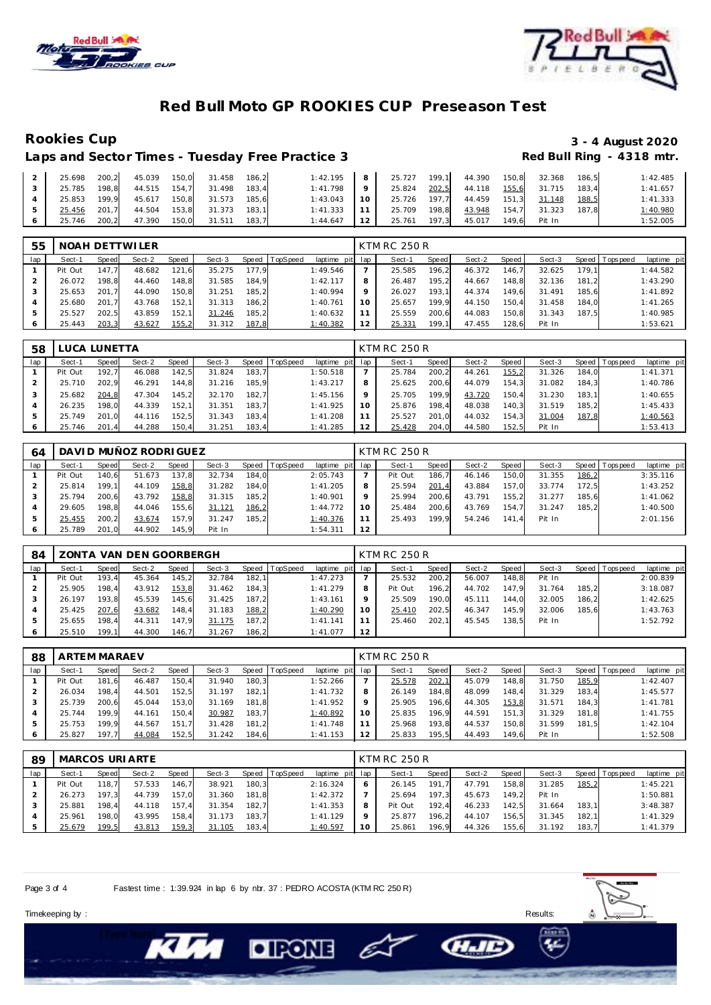



### **Rookies Cup 3 - 4 August 2020** Laps and Sector Times - Tuesday Free Practice 3

| $\overline{2}$ |              |                       |       | 25.698 200,2 45.039 150,0 31.458 186,2 |       | 1:42.195 8 25.727 199.1 44.390 150.8 32.368 |                                   |       |              |       |              | 186.5 | 1:42.485 |
|----------------|--------------|-----------------------|-------|----------------------------------------|-------|---------------------------------------------|-----------------------------------|-------|--------------|-------|--------------|-------|----------|
|                | 25.785 198,8 | 44.515  154,7  31.498 |       |                                        | 183.4 | $1:41.798$ 9                                | 25.824                            |       | 202,5 44.118 |       | 155,6 31.715 | 183.4 | 1:41.657 |
|                | 25.853 199,9 | $45.617$ .            |       | 150,8 31.573                           | 185.6 |                                             | $1:43.043$ 10 25.726 197.7 44.459 |       |              | 151,3 | 31.148       | 188,5 | 1:41.333 |
|                | 25.456 201,7 | 44.504                |       | 153,8 31.373                           | 183.1 | $1:41.333$   11                             | 25.709                            | 198.8 | 43.948       | 154.7 | 31.323       | 187.8 | 1:40.980 |
|                | 25.746 200,2 | 47.390                | 150,0 | 31.511                                 | 183.7 | $1:44.647$ 12                               | 25.761                            | 197,3 | 45.017       | 149.6 | Pit In       |       | 1:52.005 |

| 55  |         |       | NOAH DETTWILER |       |        |       |                 |                 |    | <b>KTM RC 250 R</b> |       |        |       |        |       |                |             |
|-----|---------|-------|----------------|-------|--------|-------|-----------------|-----------------|----|---------------------|-------|--------|-------|--------|-------|----------------|-------------|
| lap | Sect-1  | Speed | Sect-2         | Speed | Sect-3 | Speed | <b>TopSpeed</b> | laptime pit lap |    | Sect-1              | Speed | Sect-2 | Speed | Sect-3 |       | Speed Topspeed | laptime pit |
|     | Pit Out | 147.7 | 48.682         | 121,6 | 35.275 | 177.9 |                 | 1:49.546        |    | 25.585              | 196,2 | 46.372 | 146.7 | 32.625 | 179.1 |                | 1:44.582    |
|     | 26.072  | 198.8 | 44.460         | 148,8 | 31.585 | 184.9 |                 | 1:42.117        | 8  | 26.487              | 195.2 | 44.667 | 148.8 | 32.136 | 181.2 |                | 1:43.290    |
|     | 25.653  | 201.7 | 44.090         | 150.8 | 31.251 | 185.2 |                 | 1:40.994        |    | 26.027              | 193.1 | 44.374 | 149.6 | 31.491 | 185.6 |                | 1:41.892    |
|     | 25.680  | 201.7 | 43.768         | 152.1 | 31.313 | 186,2 |                 | 1:40.761        |    | 25.657              | 199.9 | 44.150 | 150.4 | 31.458 | 184.0 |                | 1:41.265    |
|     | 25.527  | 202.5 | 43.859         | 152,1 | 31.246 | 185,2 |                 | 1:40.632        |    | 25.559              | 200.6 | 44.083 | 150.8 | 31.343 | 187.5 |                | 1:40.985    |
|     | 25.443  | 203,3 | 43.627         | 155,2 | 31.312 | 187,8 |                 | 1:40.382        | 12 | 25.331              | 199.1 | 47.455 | 128,6 | Pit In |       |                | 1:53.621    |

| 58  |         | LUCA LUNETTA |        |       |        |       |          |                 | <b>KTM RC 250 R</b> |       |        |       |        |       |                |             |
|-----|---------|--------------|--------|-------|--------|-------|----------|-----------------|---------------------|-------|--------|-------|--------|-------|----------------|-------------|
| lap | Sect-1  | Speed        | Sect-2 | Speed | Sect-3 | Speed | TopSpeed | laptime pit lap | Sect-1              | Speed | Sect-2 | Speed | Sect-3 |       | Speed Topspeed | laptime pit |
|     | Pit Out | 192.7        | 46.088 | 142,5 | 31.824 | 183,7 |          | 1:50.518        | 25.784              | 200.2 | 44.261 | 155,2 | 31.326 | 184.0 |                | 1:41.371    |
|     | 25.710  | 202.9        | 46.291 | 144,8 | 31.216 | 185.9 |          | 1:43.217        | 25.625              | 200.6 | 44.079 | 154.3 | 31.082 | 184.3 |                | 1:40.786    |
|     | 25.682  | 204.8        | 47.304 | 145,2 | 32.170 | 182.7 |          | 1:45.156        | 25.705              | 199.9 | 43.720 | 150,4 | 31.230 | 183.1 |                | 1:40.655    |
|     | 26.235  | 198.0        | 44.339 | 152.1 | 31.351 | 183.7 |          | 1:41.925        | 25.876              | 198.4 | 48.038 | 140.3 | 31.519 | 185.2 |                | 1:45.433    |
| ь   | 25.749  | 201.0        | 44.116 | 152,5 | 31.343 | 183,4 |          | 1:41.208        | 25.527              | 201.0 | 44.032 | 154.3 | 31.004 | 187,8 |                | 1:40.563    |
|     | 25.746  | 201.4        | 44.288 | 150,4 | 31.251 | 183,4 |          | 1:41.285        | 25.428              | 204,0 | 44.580 | 152,5 | Pit In |       |                | 1:53.413    |

| 64  |         |       | DAVI D MUÑOZ RODRI GUEZ |       |        |       |          |                 |         | <b>KTM RC 250 R</b> |       |        |       |        |       |                |             |
|-----|---------|-------|-------------------------|-------|--------|-------|----------|-----------------|---------|---------------------|-------|--------|-------|--------|-------|----------------|-------------|
| lap | Sect-1  | Speed | Sect-2                  | Speed | Sect-3 | Speed | TopSpeed | laptime pit lap |         | Sect-1              | Speed | Sect-2 | Speed | Sect-3 |       | Speed Topspeed | laptime pit |
|     | Pit Out | 140.6 | 51.673                  | 137,8 | 32.734 | 184.0 |          | 2:05.743        |         | Pit Out             | 186.7 | 46.146 | 150,0 | 31.355 | 186,2 |                | 3:35.116    |
|     | 25.814  | 199.1 | 44.109                  | 158,8 | 31.282 | 184.0 |          | 1:41.205        |         | 25.594              | 201,4 | 43.884 | 157.0 | 33.774 | 172.5 |                | 1:43.252    |
|     | 25.794  | 200.6 | 43.792                  | 158,8 | 31.315 | 185.2 |          | 1:40.901        | $\circ$ | 25.994              | 200.6 | 43.791 | 155.2 | 31.277 | 185.6 |                | 1:41.062    |
|     | 29.605  | 198.8 | 44.046                  | 155,6 | 31.121 | 186,2 |          | 1:44.772        | 1 C     | 25.484              | 200.6 | 43.769 | 154.7 | 31.247 | 185.2 |                | 1:40.500    |
|     | 25.455  | 200.2 | 43.674                  | 157,9 | 31.247 | 185.2 |          | <u>1:40.376</u> |         | 25.493              | 199.9 | 54.246 | 141.4 | Pit In |       |                | 2:01.156    |
|     | 25.789  | 201.0 | 44.902                  | 145,9 | Pit In |       |          | 1:54.311        | 12      |                     |       |        |       |        |       |                |             |

| 84  |         |        | ZONTA VAN DEN GOORBERGH |       |        |       |                |                 |    | <b>KTM RC 250 R</b> |         |        |       |        |       |                |             |
|-----|---------|--------|-------------------------|-------|--------|-------|----------------|-----------------|----|---------------------|---------|--------|-------|--------|-------|----------------|-------------|
| lap | Sect-1  | Speed  | Sect-2                  | Speed | Sect-3 |       | Speed TopSpeed | laptime pit lap |    | Sect-1              | Speed I | Sect-2 | Speed | Sect-3 |       | Speed Topspeed | laptime pit |
|     | Pit Out | 193.4  | 45.364                  | 145.2 | 32.784 | 182.1 |                | 1:47.273        |    | 25.532              | 200.2   | 56.007 | 148.8 | Pit In |       |                | 2:00.839    |
|     | 25.905  | 198.4  | 43.912                  | 153,8 | 31.462 | 184.3 |                | 1:41.279        |    | Pit Out             | 196.2   | 44.702 | 147.9 | 31.764 | 185.2 |                | 3:18.087    |
|     | 26.197  | 193.8  | 45.539                  | 145.6 | 31.425 | 187.2 |                | 1:43.161        |    | 25.509              | 190.0   | 45.111 | 144.0 | 32.005 | 186.2 |                | 1:42.625    |
|     | 25.425  | 207,6  | 43.682                  | 148,4 | 31.183 | 188,2 |                | 1:40.290        |    | 25.410              | 202.5   | 46.347 | 145.9 | 32.006 | 185.6 |                | 1:43.763    |
|     | 25.655  | 198.4  | 44.311                  | 147.9 | 31.175 | 187.2 |                | 1: 41.141       |    | 25.460              | 202.1   | 45.545 | 138.5 | Pit In |       |                | 1:52.792    |
|     | 25.510  | 199.11 | 44.300                  | 146.7 | 31.267 | 186.2 |                | 1:41.077        | 12 |                     |         |        |       |        |       |                |             |

| 88  | ARTEM MARAEV |       |        |       |        |       |                 |                 |         | <b>KTM RC 250 R</b> |       |        |       |        |       |                 |             |
|-----|--------------|-------|--------|-------|--------|-------|-----------------|-----------------|---------|---------------------|-------|--------|-------|--------|-------|-----------------|-------------|
| lap | Sect-1       | Speed | Sect-2 | Speed | Sect-3 | Speed | <b>TopSpeed</b> | laptime pit lap |         | Sect-1              | Speed | Sect-2 | Speed | Sect-3 |       | Speed Tops peed | laptime pit |
|     | Pit Out      | 181.6 | 46.487 | 150.4 | 31.940 | 180.3 |                 | 1:52.266        |         | 25.578              | 202,1 | 45.079 | 148.8 | 31.750 | 185,9 |                 | 1:42.407    |
|     | 26.034       | 198.4 | 44.501 | 152,5 | 31.197 | 182.1 |                 | 1:41.732        | 8       | 26.149              | 184.8 | 48.099 | 148.4 | 31.329 | 183.4 |                 | 1:45.577    |
|     | 25.739       | 200.6 | 45.044 | 153,0 | 31.169 | 181.8 |                 | 1:41.952        | $\circ$ | 25.905              | 196.6 | 44.305 | 153,8 | 31.571 | 184.3 |                 | 1:41.781    |
|     | 25.744       | 199.9 | 44.161 | 150,4 | 30.987 | 183.7 |                 | 1:40.892        | 10      | 25.835              | 196.9 | 44.591 | 151.3 | 31.329 | 181.8 |                 | 1:41.755    |
| ь   | 25.753       | 199.9 | 44.567 | 151.7 | 31.428 | 181,2 |                 | 1:41.748        |         | 25.968              | 193.8 | 44.537 | 150.8 | 31.599 | 181.5 |                 | 1:42.104    |
| 6   | 25.827       | 197.7 | 44.084 | 152,5 | 31.242 | 184,6 |                 | 1:41.153        | 12      | 25.833              | 195,5 | 44.493 | 149.6 | Pit In |       |                 | 1:52.508    |

| 89  |         |       | MARCOS URI ARTE |       |        |       |          |                 |    | KTM RC 250 R |       |        |         |        |       |                 |             |
|-----|---------|-------|-----------------|-------|--------|-------|----------|-----------------|----|--------------|-------|--------|---------|--------|-------|-----------------|-------------|
| lap | Sect-1  | Speed | Sect-2          | Speed | Sect-3 | Speed | TopSpeed | laptime pit lap |    | Sect-1       | Speed | Sect-2 | Speed I | Sect-3 |       | Speed Tops peed | laptime pit |
|     | Pit Out | 118.7 | 57.533          | 146,7 | 38.921 | 180.3 |          | 2:16.324        |    | 26.145       | 191   | 47.791 | 158.8   | 31.285 | 185,2 |                 | 1:45.221    |
|     | 26.273  | 197.3 | 44.739          | 157.0 | 31.360 | 181.8 |          | 1:42.372        |    | 25.694       | 197.3 | 45.673 | 149.2   | Pit In |       |                 | 1:50.881    |
|     | 25.881  | 198.4 | 44.118          | 157.4 | 31.354 | 182.7 |          | 1:41.353        | 8  | Pit Out      | 192.4 | 46.233 | 142.5   | 31.664 | 183.1 |                 | 3:48.387    |
|     | 25.961  | 198.0 | 43.995          | 158.4 | 31.173 | 183.7 |          | 1:41.129        |    | 25.877       | 196.2 | 44.107 | 156.5   | 31.345 | 182.1 |                 | 1:41.329    |
|     | 25.679  | 199,5 | 43.813          | 159,3 | 31.105 | 183,4 |          | 1:40.597        | 10 | 25.861       | 196.9 | 44.326 | 155,6   | 31.192 | 183,7 |                 | 1:41.379    |

E

Page 3 of 4 Fastest time : 1:39.924 in lap 6 by nbr. 37 : PEDRO ACOSTA (KTM RC 250 R)

**DIRONE**